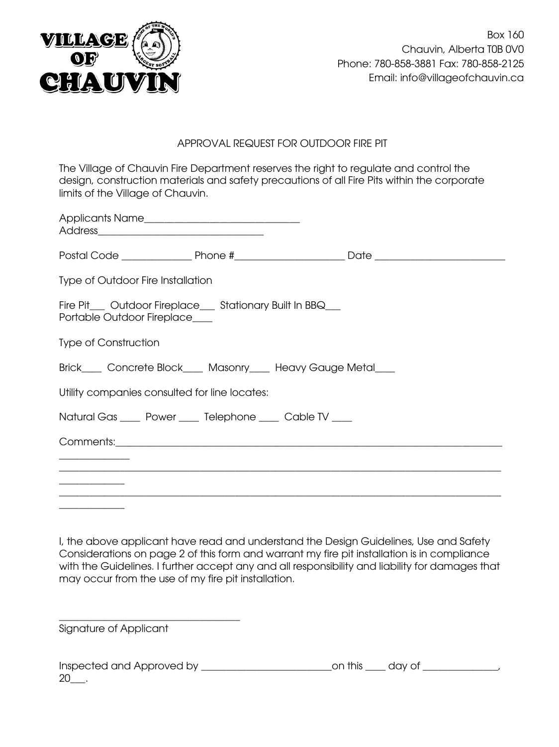

## APPROVAL REQUEST FOR OUTDOOR FIRE PIT

The Village of Chauvin Fire Department reserves the right to regulate and control the design, construction materials and safety precautions of all Fire Pits within the corporate limits of the Village of Chauvin.

| <b>Type of Outdoor Fire Installation</b>      |                                                            |                                                               |  |
|-----------------------------------------------|------------------------------------------------------------|---------------------------------------------------------------|--|
| Portable Outdoor Fireplace                    | Fire Pit__ Outdoor Fireplace__ Stationary Built In BBQ__   |                                                               |  |
| <b>Type of Construction</b>                   |                                                            |                                                               |  |
|                                               |                                                            | Brick____ Concrete Block____ Masonry____ Heavy Gauge Metal___ |  |
| Utility companies consulted for line locates: |                                                            |                                                               |  |
|                                               | Natural Gas _____ Power ____ Telephone _____ Cable TV ____ |                                                               |  |
|                                               |                                                            |                                                               |  |
|                                               |                                                            |                                                               |  |
|                                               |                                                            |                                                               |  |
|                                               |                                                            |                                                               |  |

I, the above applicant have read and understand the Design Guidelines, Use and Safety Considerations on page 2 of this form and warrant my fire pit installation is in compliance with the Guidelines. I further accept any and all responsibility and liability for damages that may occur from the use of my fire pit installation.

Signature of Applicant

\_\_\_\_\_\_\_\_\_\_\_\_\_\_\_\_\_\_\_\_\_\_\_\_\_\_\_\_\_\_\_\_\_\_\_\_

| Inspected and Approved by | on this day of |  |
|---------------------------|----------------|--|
| 20                        |                |  |